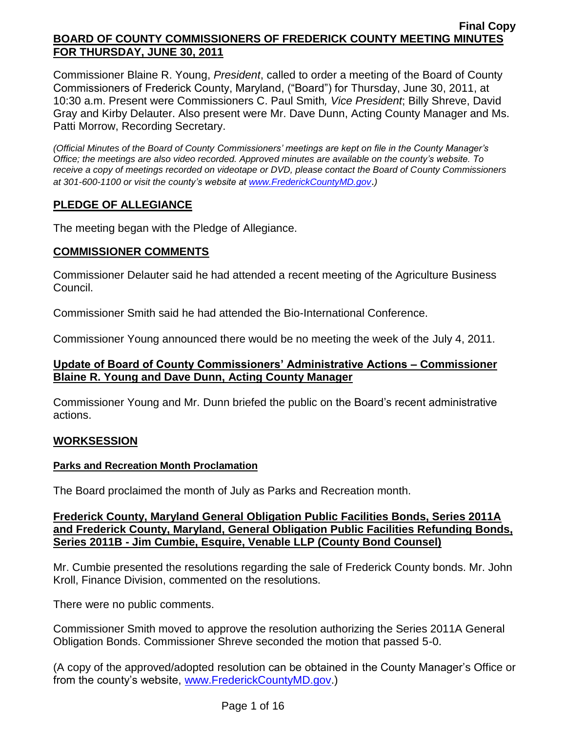Commissioner Blaine R. Young, *President*, called to order a meeting of the Board of County Commissioners of Frederick County, Maryland, ("Board") for Thursday, June 30, 2011, at 10:30 a.m. Present were Commissioners C. Paul Smith*, Vice President*; Billy Shreve, David Gray and Kirby Delauter. Also present were Mr. Dave Dunn, Acting County Manager and Ms. Patti Morrow, Recording Secretary.

*(Official Minutes of the Board of County Commissioners' meetings are kept on file in the County Manager's Office; the meetings are also video recorded. Approved minutes are available on the county's website. To receive a copy of meetings recorded on videotape or DVD, please contact the Board of County Commissioners at 301-600-1100 or visit the county's website at [www.FrederickCountyMD.gov](http://www.frederickcountymd.gov/)*.*)*

# **PLEDGE OF ALLEGIANCE**

The meeting began with the Pledge of Allegiance.

## **COMMISSIONER COMMENTS**

Commissioner Delauter said he had attended a recent meeting of the Agriculture Business Council.

Commissioner Smith said he had attended the Bio-International Conference.

Commissioner Young announced there would be no meeting the week of the July 4, 2011.

## **Update of Board of County Commissioners' Administrative Actions – Commissioner Blaine R. Young and Dave Dunn, Acting County Manager**

Commissioner Young and Mr. Dunn briefed the public on the Board's recent administrative actions.

## **WORKSESSION**

## **Parks and Recreation Month Proclamation**

The Board proclaimed the month of July as Parks and Recreation month.

### **Frederick County, Maryland General Obligation Public Facilities Bonds, Series 2011A and Frederick County, Maryland, General Obligation Public Facilities Refunding Bonds, Series 2011B - Jim Cumbie, Esquire, Venable LLP (County Bond Counsel)**

Mr. Cumbie presented the resolutions regarding the sale of Frederick County bonds. Mr. John Kroll, Finance Division, commented on the resolutions.

There were no public comments.

Commissioner Smith moved to approve the resolution authorizing the Series 2011A General Obligation Bonds. Commissioner Shreve seconded the motion that passed 5-0.

(A copy of the approved/adopted resolution can be obtained in the County Manager's Office or from the county's website, [www.FrederickCountyMD.gov.](http://www.frederickcountymd.gov/))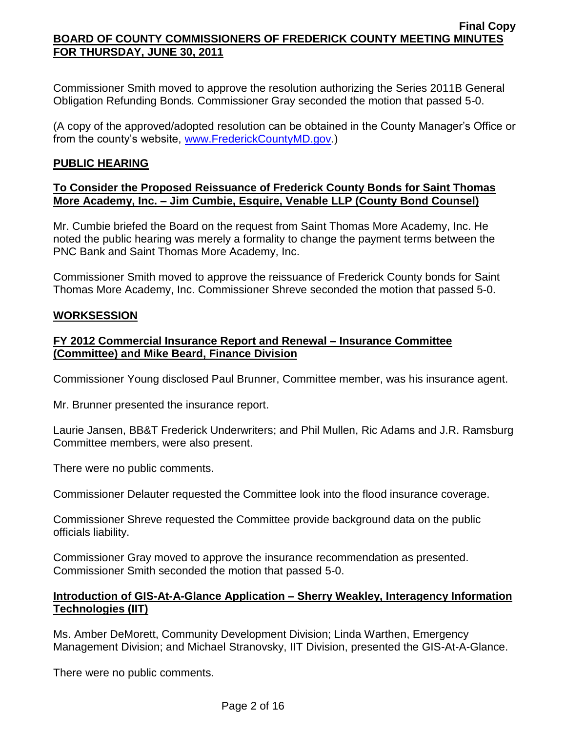Commissioner Smith moved to approve the resolution authorizing the Series 2011B General Obligation Refunding Bonds. Commissioner Gray seconded the motion that passed 5-0.

(A copy of the approved/adopted resolution can be obtained in the County Manager's Office or from the county's website, [www.FrederickCountyMD.gov.](http://www.frederickcountymd.gov/))

### **PUBLIC HEARING**

### **To Consider the Proposed Reissuance of Frederick County Bonds for Saint Thomas More Academy, Inc. – Jim Cumbie, Esquire, Venable LLP (County Bond Counsel)**

Mr. Cumbie briefed the Board on the request from Saint Thomas More Academy, Inc. He noted the public hearing was merely a formality to change the payment terms between the PNC Bank and Saint Thomas More Academy, Inc.

Commissioner Smith moved to approve the reissuance of Frederick County bonds for Saint Thomas More Academy, Inc. Commissioner Shreve seconded the motion that passed 5-0.

### **WORKSESSION**

## **FY 2012 Commercial Insurance Report and Renewal – Insurance Committee (Committee) and Mike Beard, Finance Division**

Commissioner Young disclosed Paul Brunner, Committee member, was his insurance agent.

Mr. Brunner presented the insurance report.

Laurie Jansen, BB&T Frederick Underwriters; and Phil Mullen, Ric Adams and J.R. Ramsburg Committee members, were also present.

There were no public comments.

Commissioner Delauter requested the Committee look into the flood insurance coverage.

Commissioner Shreve requested the Committee provide background data on the public officials liability.

Commissioner Gray moved to approve the insurance recommendation as presented. Commissioner Smith seconded the motion that passed 5-0.

## **Introduction of GIS-At-A-Glance Application – Sherry Weakley, Interagency Information Technologies (IIT)**

Ms. Amber DeMorett, Community Development Division; Linda Warthen, Emergency Management Division; and Michael Stranovsky, IIT Division, presented the GIS-At-A-Glance.

There were no public comments.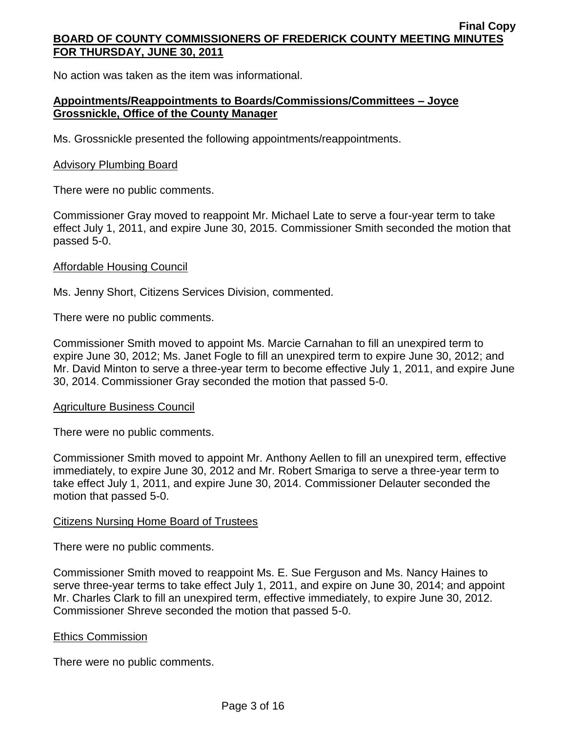No action was taken as the item was informational.

# **Appointments/Reappointments to Boards/Commissions/Committees – Joyce Grossnickle, Office of the County Manager**

Ms. Grossnickle presented the following appointments/reappointments.

### Advisory Plumbing Board

There were no public comments.

Commissioner Gray moved to reappoint Mr. Michael Late to serve a four-year term to take effect July 1, 2011, and expire June 30, 2015. Commissioner Smith seconded the motion that passed 5-0.

## Affordable Housing Council

Ms. Jenny Short, Citizens Services Division, commented.

There were no public comments.

Commissioner Smith moved to appoint Ms. Marcie Carnahan to fill an unexpired term to expire June 30, 2012; Ms. Janet Fogle to fill an unexpired term to expire June 30, 2012; and Mr. David Minton to serve a three-year term to become effective July 1, 2011, and expire June 30, 2014. Commissioner Gray seconded the motion that passed 5-0.

## Agriculture Business Council

There were no public comments.

Commissioner Smith moved to appoint Mr. Anthony Aellen to fill an unexpired term, effective immediately, to expire June 30, 2012 and Mr. Robert Smariga to serve a three-year term to take effect July 1, 2011, and expire June 30, 2014. Commissioner Delauter seconded the motion that passed 5-0.

### Citizens Nursing Home Board of Trustees

There were no public comments.

Commissioner Smith moved to reappoint Ms. E. Sue Ferguson and Ms. Nancy Haines to serve three-year terms to take effect July 1, 2011, and expire on June 30, 2014; and appoint Mr. Charles Clark to fill an unexpired term, effective immediately, to expire June 30, 2012. Commissioner Shreve seconded the motion that passed 5-0.

## Ethics Commission

There were no public comments.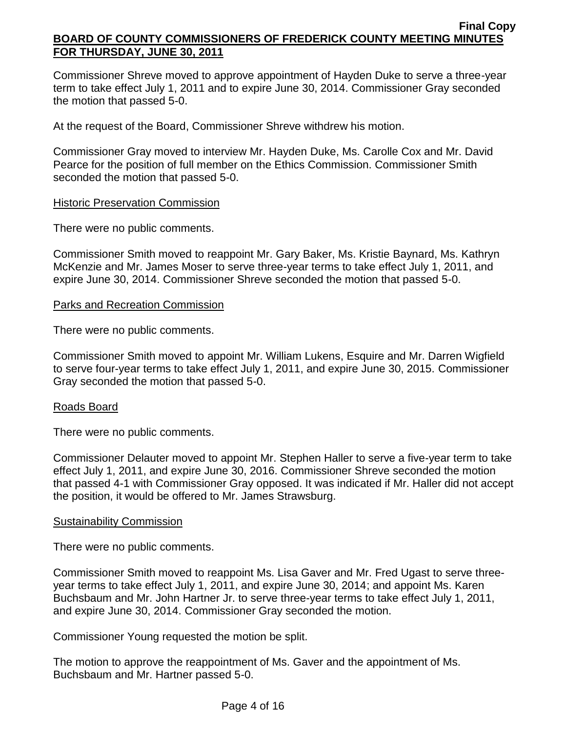Commissioner Shreve moved to approve appointment of Hayden Duke to serve a three-year term to take effect July 1, 2011 and to expire June 30, 2014. Commissioner Gray seconded the motion that passed 5-0.

At the request of the Board, Commissioner Shreve withdrew his motion.

Commissioner Gray moved to interview Mr. Hayden Duke, Ms. Carolle Cox and Mr. David Pearce for the position of full member on the Ethics Commission. Commissioner Smith seconded the motion that passed 5-0.

## **Historic Preservation Commission**

There were no public comments.

Commissioner Smith moved to reappoint Mr. Gary Baker, Ms. Kristie Baynard, Ms. Kathryn McKenzie and Mr. James Moser to serve three-year terms to take effect July 1, 2011, and expire June 30, 2014. Commissioner Shreve seconded the motion that passed 5-0.

### Parks and Recreation Commission

There were no public comments.

Commissioner Smith moved to appoint Mr. William Lukens, Esquire and Mr. Darren Wigfield to serve four-year terms to take effect July 1, 2011, and expire June 30, 2015. Commissioner Gray seconded the motion that passed 5-0.

### Roads Board

There were no public comments.

Commissioner Delauter moved to appoint Mr. Stephen Haller to serve a five-year term to take effect July 1, 2011, and expire June 30, 2016. Commissioner Shreve seconded the motion that passed 4-1 with Commissioner Gray opposed. It was indicated if Mr. Haller did not accept the position, it would be offered to Mr. James Strawsburg.

### **Sustainability Commission**

There were no public comments.

Commissioner Smith moved to reappoint Ms. Lisa Gaver and Mr. Fred Ugast to serve threeyear terms to take effect July 1, 2011, and expire June 30, 2014; and appoint Ms. Karen Buchsbaum and Mr. John Hartner Jr. to serve three-year terms to take effect July 1, 2011, and expire June 30, 2014. Commissioner Gray seconded the motion.

Commissioner Young requested the motion be split.

The motion to approve the reappointment of Ms. Gaver and the appointment of Ms. Buchsbaum and Mr. Hartner passed 5-0.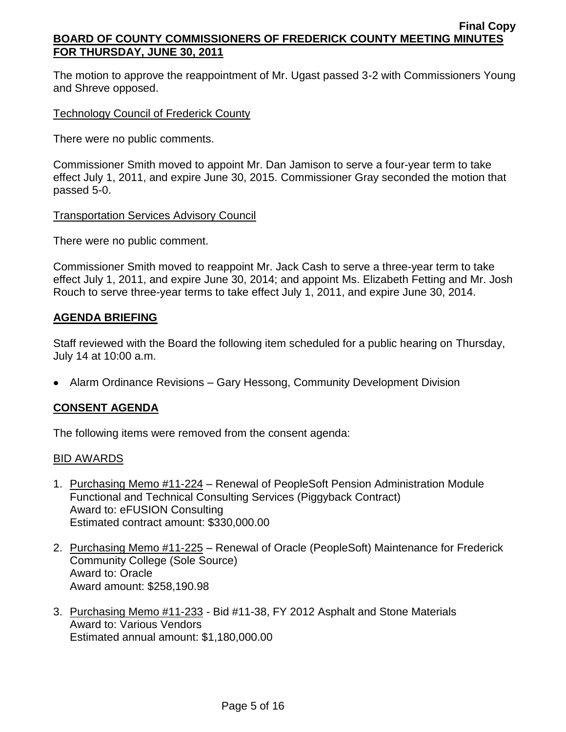The motion to approve the reappointment of Mr. Ugast passed 3-2 with Commissioners Young and Shreve opposed.

## Technology Council of Frederick County

There were no public comments.

Commissioner Smith moved to appoint Mr. Dan Jamison to serve a four-year term to take effect July 1, 2011, and expire June 30, 2015. Commissioner Gray seconded the motion that passed 5-0.

### Transportation Services Advisory Council

There were no public comment.

Commissioner Smith moved to reappoint Mr. Jack Cash to serve a three-year term to take effect July 1, 2011, and expire June 30, 2014; and appoint Ms. Elizabeth Fetting and Mr. Josh Rouch to serve three-year terms to take effect July 1, 2011, and expire June 30, 2014.

## **AGENDA BRIEFING**

Staff reviewed with the Board the following item scheduled for a public hearing on Thursday, July 14 at 10:00 a.m.

Alarm Ordinance Revisions – Gary Hessong, Community Development Division

# **CONSENT AGENDA**

The following items were removed from the consent agenda:

## BID AWARDS

- 1. Purchasing Memo #11-224 Renewal of PeopleSoft Pension Administration Module Functional and Technical Consulting Services (Piggyback Contract) Award to: eFUSION Consulting Estimated contract amount: \$330,000.00
- 2. Purchasing Memo #11-225 Renewal of Oracle (PeopleSoft) Maintenance for Frederick Community College (Sole Source) Award to: Oracle Award amount: \$258,190.98
- 3. Purchasing Memo #11-233 Bid #11-38, FY 2012 Asphalt and Stone Materials Award to: Various Vendors Estimated annual amount: \$1,180,000.00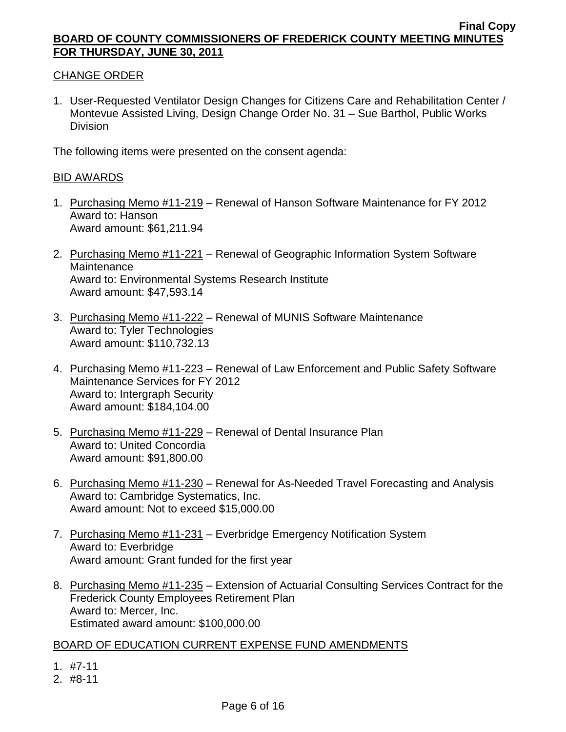## CHANGE ORDER

1. User-Requested Ventilator Design Changes for Citizens Care and Rehabilitation Center / Montevue Assisted Living, Design Change Order No. 31 – Sue Barthol, Public Works **Division** 

The following items were presented on the consent agenda:

### BID AWARDS

- 1. Purchasing Memo #11-219 Renewal of Hanson Software Maintenance for FY 2012 Award to: Hanson Award amount: \$61,211.94
- 2. Purchasing Memo #11-221 Renewal of Geographic Information System Software **Maintenance** Award to: Environmental Systems Research Institute Award amount: \$47,593.14
- 3. Purchasing Memo #11-222 Renewal of MUNIS Software Maintenance Award to: Tyler Technologies Award amount: \$110,732.13
- 4. Purchasing Memo #11-223 Renewal of Law Enforcement and Public Safety Software Maintenance Services for FY 2012 Award to: Intergraph Security Award amount: \$184,104.00
- 5. Purchasing Memo #11-229 Renewal of Dental Insurance Plan Award to: United Concordia Award amount: \$91,800.00
- 6. Purchasing Memo #11-230 Renewal for As-Needed Travel Forecasting and Analysis Award to: Cambridge Systematics, Inc. Award amount: Not to exceed \$15,000.00
- 7. Purchasing Memo #11-231 Everbridge Emergency Notification System Award to: Everbridge Award amount: Grant funded for the first year
- 8. Purchasing Memo #11-235 Extension of Actuarial Consulting Services Contract for the Frederick County Employees Retirement Plan Award to: Mercer, Inc. Estimated award amount: \$100,000.00

## BOARD OF EDUCATION CURRENT EXPENSE FUND AMENDMENTS

- 1. #7-11
- 2. #8-11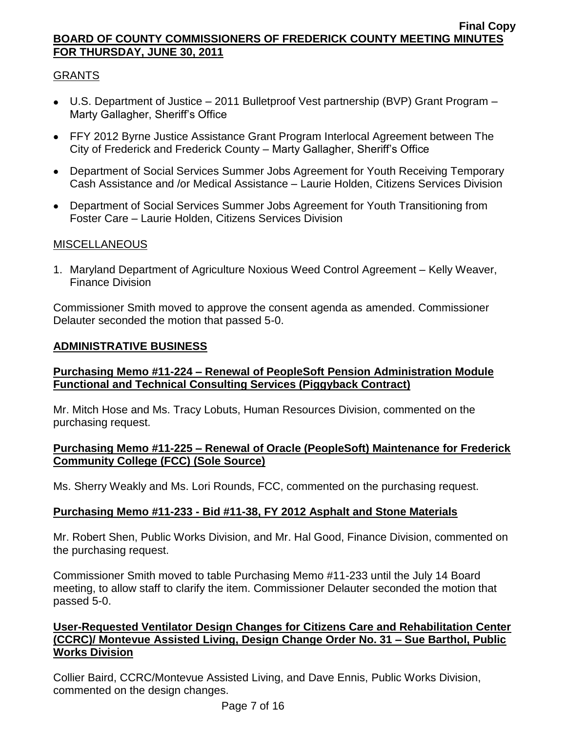# GRANTS

- U.S. Department of Justice 2011 Bulletproof Vest partnership (BVP) Grant Program Marty Gallagher, Sheriff's Office
- FFY 2012 Byrne Justice Assistance Grant Program Interlocal Agreement between The City of Frederick and Frederick County – Marty Gallagher, Sheriff's Office
- Department of Social Services Summer Jobs Agreement for Youth Receiving Temporary Cash Assistance and /or Medical Assistance – Laurie Holden, Citizens Services Division
- Department of Social Services Summer Jobs Agreement for Youth Transitioning from Foster Care – Laurie Holden, Citizens Services Division

# MISCELLANEOUS

1. Maryland Department of Agriculture Noxious Weed Control Agreement – Kelly Weaver, Finance Division

Commissioner Smith moved to approve the consent agenda as amended. Commissioner Delauter seconded the motion that passed 5-0.

# **ADMINISTRATIVE BUSINESS**

# **Purchasing Memo #11-224 – Renewal of PeopleSoft Pension Administration Module Functional and Technical Consulting Services (Piggyback Contract)**

Mr. Mitch Hose and Ms. Tracy Lobuts, Human Resources Division, commented on the purchasing request.

## **Purchasing Memo #11-225 – Renewal of Oracle (PeopleSoft) Maintenance for Frederick Community College (FCC) (Sole Source)**

Ms. Sherry Weakly and Ms. Lori Rounds, FCC, commented on the purchasing request.

# **Purchasing Memo #11-233 - Bid #11-38, FY 2012 Asphalt and Stone Materials**

Mr. Robert Shen, Public Works Division, and Mr. Hal Good, Finance Division, commented on the purchasing request.

Commissioner Smith moved to table Purchasing Memo #11-233 until the July 14 Board meeting, to allow staff to clarify the item. Commissioner Delauter seconded the motion that passed 5-0.

# **User-Requested Ventilator Design Changes for Citizens Care and Rehabilitation Center (CCRC)/ Montevue Assisted Living, Design Change Order No. 31 – Sue Barthol, Public Works Division**

Collier Baird, CCRC/Montevue Assisted Living, and Dave Ennis, Public Works Division, commented on the design changes.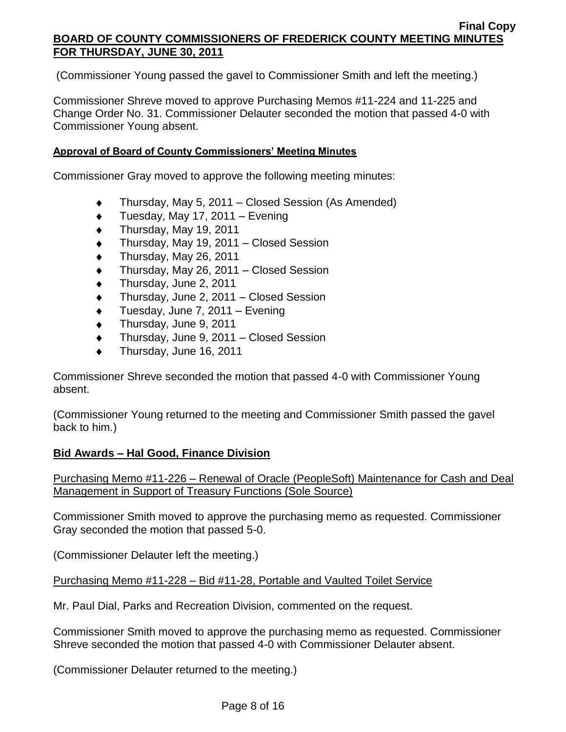(Commissioner Young passed the gavel to Commissioner Smith and left the meeting.)

Commissioner Shreve moved to approve Purchasing Memos #11-224 and 11-225 and Change Order No. 31. Commissioner Delauter seconded the motion that passed 4-0 with Commissioner Young absent.

### **Approval of Board of County Commissioners' Meeting Minutes**

Commissioner Gray moved to approve the following meeting minutes:

- Thursday, May 5, 2011 Closed Session (As Amended)  $\bullet$
- Tuesday, May 17, 2011 Evening  $\blacklozenge$
- Thursday, May 19, 2011  $\blacklozenge$
- Thursday, May 19, 2011 Closed Session
- Thursday, May 26, 2011
- Thursday, May 26, 2011 Closed Session
- Thursday, June 2, 2011
- Thursday, June 2, 2011 Closed Session
- Tuesday, June 7, 2011 Evening
- Thursday, June 9, 2011  $\blacklozenge$
- Thursday, June 9, 2011 Closed Session  $\bullet$
- Thursday, June 16, 2011  $\bullet$

Commissioner Shreve seconded the motion that passed 4-0 with Commissioner Young absent.

(Commissioner Young returned to the meeting and Commissioner Smith passed the gavel back to him.)

## **Bid Awards – Hal Good, Finance Division**

Purchasing Memo #11-226 – Renewal of Oracle (PeopleSoft) Maintenance for Cash and Deal Management in Support of Treasury Functions (Sole Source)

Commissioner Smith moved to approve the purchasing memo as requested. Commissioner Gray seconded the motion that passed 5-0.

(Commissioner Delauter left the meeting.)

Purchasing Memo #11-228 – Bid #11-28, Portable and Vaulted Toilet Service

Mr. Paul Dial, Parks and Recreation Division, commented on the request.

Commissioner Smith moved to approve the purchasing memo as requested. Commissioner Shreve seconded the motion that passed 4-0 with Commissioner Delauter absent.

(Commissioner Delauter returned to the meeting.)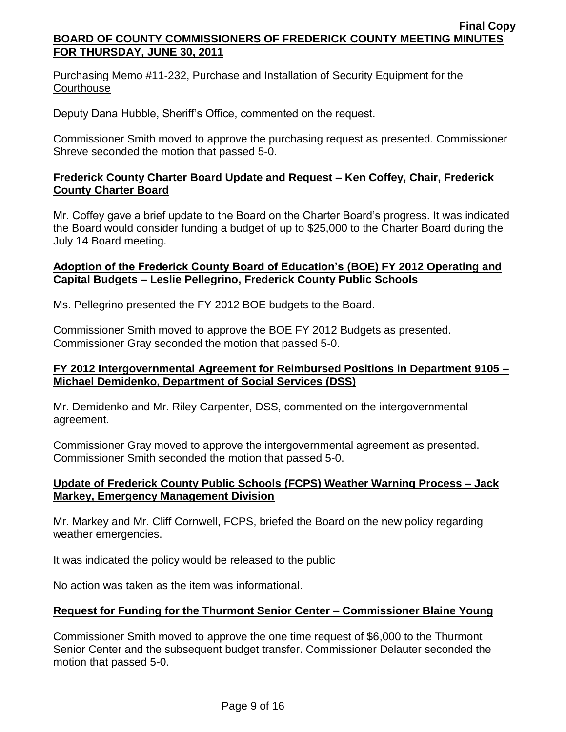Purchasing Memo #11-232, Purchase and Installation of Security Equipment for the **Courthouse** 

Deputy Dana Hubble, Sheriff's Office, commented on the request.

Commissioner Smith moved to approve the purchasing request as presented. Commissioner Shreve seconded the motion that passed 5-0.

# **Frederick County Charter Board Update and Request – Ken Coffey, Chair, Frederick County Charter Board**

Mr. Coffey gave a brief update to the Board on the Charter Board's progress. It was indicated the Board would consider funding a budget of up to \$25,000 to the Charter Board during the July 14 Board meeting.

## **Adoption of the Frederick County Board of Education's (BOE) FY 2012 Operating and Capital Budgets – Leslie Pellegrino, Frederick County Public Schools**

Ms. Pellegrino presented the FY 2012 BOE budgets to the Board.

Commissioner Smith moved to approve the BOE FY 2012 Budgets as presented. Commissioner Gray seconded the motion that passed 5-0.

# **FY 2012 Intergovernmental Agreement for Reimbursed Positions in Department 9105 – Michael Demidenko, Department of Social Services (DSS)**

Mr. Demidenko and Mr. Riley Carpenter, DSS, commented on the intergovernmental agreement.

Commissioner Gray moved to approve the intergovernmental agreement as presented. Commissioner Smith seconded the motion that passed 5-0.

# **Update of Frederick County Public Schools (FCPS) Weather Warning Process – Jack Markey, Emergency Management Division**

Mr. Markey and Mr. Cliff Cornwell, FCPS, briefed the Board on the new policy regarding weather emergencies.

It was indicated the policy would be released to the public

No action was taken as the item was informational.

## **Request for Funding for the Thurmont Senior Center – Commissioner Blaine Young**

Commissioner Smith moved to approve the one time request of \$6,000 to the Thurmont Senior Center and the subsequent budget transfer. Commissioner Delauter seconded the motion that passed 5-0.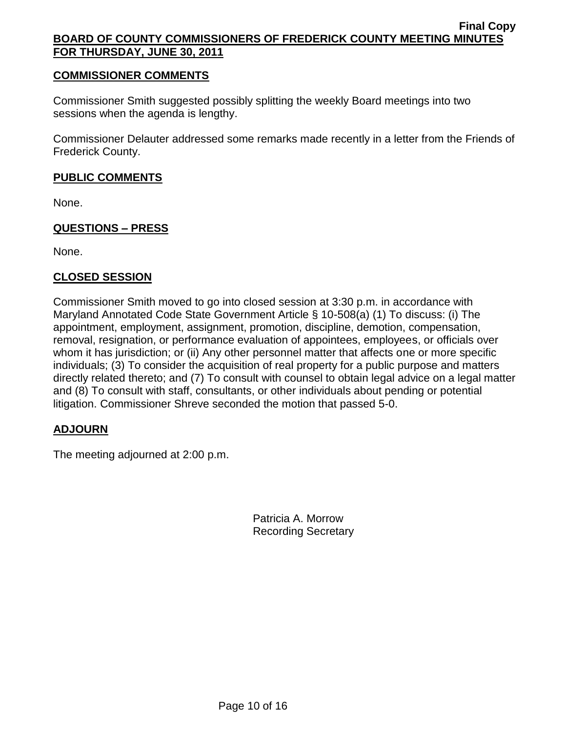### **COMMISSIONER COMMENTS**

Commissioner Smith suggested possibly splitting the weekly Board meetings into two sessions when the agenda is lengthy.

Commissioner Delauter addressed some remarks made recently in a letter from the Friends of Frederick County.

### **PUBLIC COMMENTS**

None.

## **QUESTIONS – PRESS**

None.

## **CLOSED SESSION**

Commissioner Smith moved to go into closed session at 3:30 p.m. in accordance with Maryland Annotated Code State Government Article § 10-508(a) (1) To discuss: (i) The appointment, employment, assignment, promotion, discipline, demotion, compensation, removal, resignation, or performance evaluation of appointees, employees, or officials over whom it has jurisdiction; or (ii) Any other personnel matter that affects one or more specific individuals; (3) To consider the acquisition of real property for a public purpose and matters directly related thereto; and (7) To consult with counsel to obtain legal advice on a legal matter and (8) To consult with staff, consultants, or other individuals about pending or potential litigation. Commissioner Shreve seconded the motion that passed 5-0.

## **ADJOURN**

The meeting adjourned at 2:00 p.m.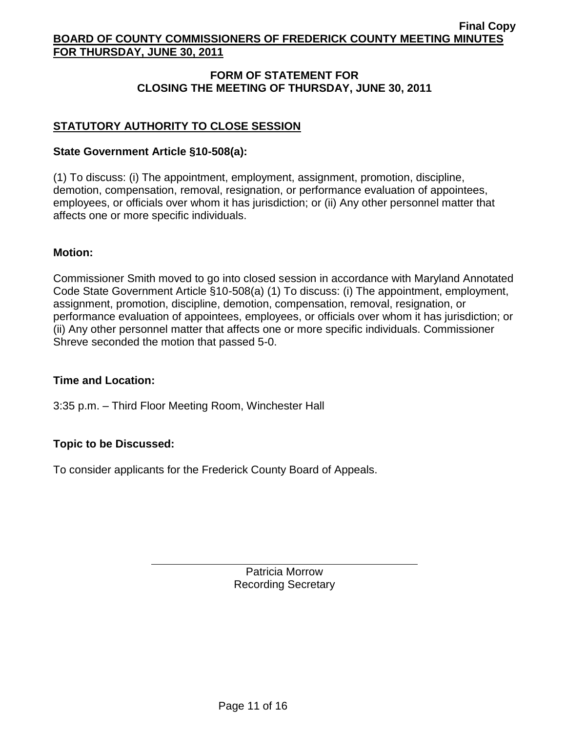# **FORM OF STATEMENT FOR CLOSING THE MEETING OF THURSDAY, JUNE 30, 2011**

# **STATUTORY AUTHORITY TO CLOSE SESSION**

### **State Government Article §10-508(a):**

(1) To discuss: (i) The appointment, employment, assignment, promotion, discipline, demotion, compensation, removal, resignation, or performance evaluation of appointees, employees, or officials over whom it has jurisdiction; or (ii) Any other personnel matter that affects one or more specific individuals.

### **Motion:**

Commissioner Smith moved to go into closed session in accordance with Maryland Annotated Code State Government Article §10-508(a) (1) To discuss: (i) The appointment, employment, assignment, promotion, discipline, demotion, compensation, removal, resignation, or performance evaluation of appointees, employees, or officials over whom it has jurisdiction; or (ii) Any other personnel matter that affects one or more specific individuals. Commissioner Shreve seconded the motion that passed 5-0.

## **Time and Location:**

3:35 p.m. – Third Floor Meeting Room, Winchester Hall

## **Topic to be Discussed:**

To consider applicants for the Frederick County Board of Appeals.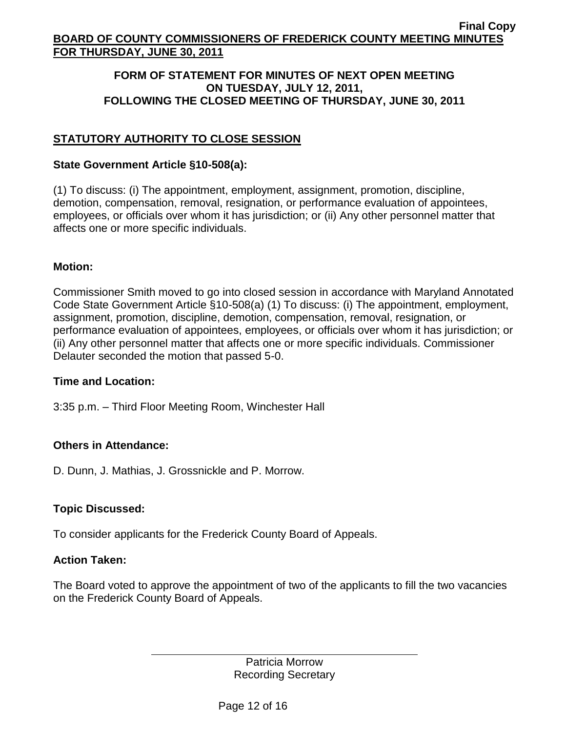## **FORM OF STATEMENT FOR MINUTES OF NEXT OPEN MEETING ON TUESDAY, JULY 12, 2011, FOLLOWING THE CLOSED MEETING OF THURSDAY, JUNE 30, 2011**

# **STATUTORY AUTHORITY TO CLOSE SESSION**

### **State Government Article §10-508(a):**

(1) To discuss: (i) The appointment, employment, assignment, promotion, discipline, demotion, compensation, removal, resignation, or performance evaluation of appointees, employees, or officials over whom it has jurisdiction; or (ii) Any other personnel matter that affects one or more specific individuals.

## **Motion:**

Commissioner Smith moved to go into closed session in accordance with Maryland Annotated Code State Government Article §10-508(a) (1) To discuss: (i) The appointment, employment, assignment, promotion, discipline, demotion, compensation, removal, resignation, or performance evaluation of appointees, employees, or officials over whom it has jurisdiction; or (ii) Any other personnel matter that affects one or more specific individuals. Commissioner Delauter seconded the motion that passed 5-0.

## **Time and Location:**

3:35 p.m. – Third Floor Meeting Room, Winchester Hall

## **Others in Attendance:**

D. Dunn, J. Mathias, J. Grossnickle and P. Morrow.

## **Topic Discussed:**

To consider applicants for the Frederick County Board of Appeals.

### **Action Taken:**

The Board voted to approve the appointment of two of the applicants to fill the two vacancies on the Frederick County Board of Appeals.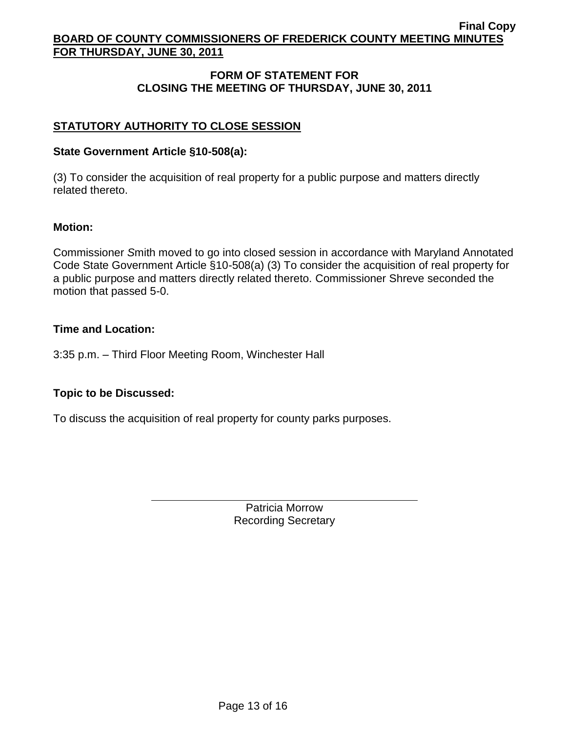# **FORM OF STATEMENT FOR CLOSING THE MEETING OF THURSDAY, JUNE 30, 2011**

# **STATUTORY AUTHORITY TO CLOSE SESSION**

### **State Government Article §10-508(a):**

(3) To consider the acquisition of real property for a public purpose and matters directly related thereto.

### **Motion:**

Commissioner *S*mith moved to go into closed session in accordance with Maryland Annotated Code State Government Article §10-508(a) (3) To consider the acquisition of real property for a public purpose and matters directly related thereto. Commissioner Shreve seconded the motion that passed 5-0.

### **Time and Location:**

3:35 p.m. – Third Floor Meeting Room, Winchester Hall

## **Topic to be Discussed:**

To discuss the acquisition of real property for county parks purposes.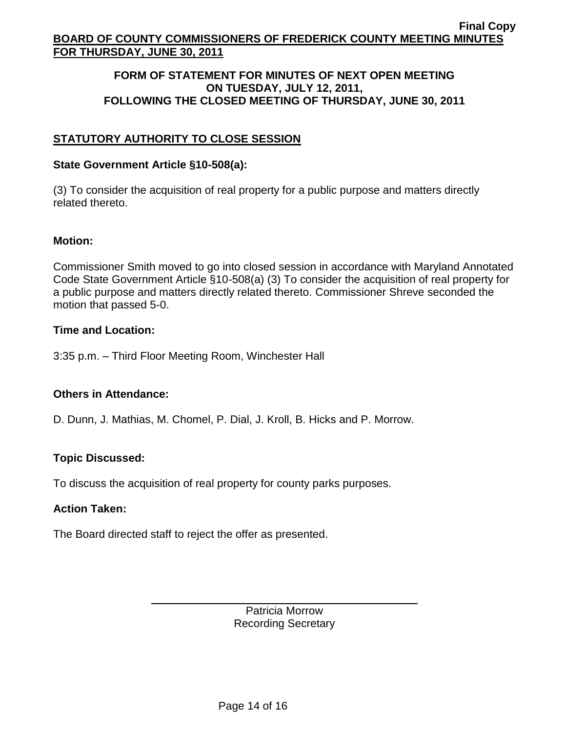### **FORM OF STATEMENT FOR MINUTES OF NEXT OPEN MEETING ON TUESDAY, JULY 12, 2011, FOLLOWING THE CLOSED MEETING OF THURSDAY, JUNE 30, 2011**

# **STATUTORY AUTHORITY TO CLOSE SESSION**

### **State Government Article §10-508(a):**

(3) To consider the acquisition of real property for a public purpose and matters directly related thereto.

### **Motion:**

Commissioner Smith moved to go into closed session in accordance with Maryland Annotated Code State Government Article §10-508(a) (3) To consider the acquisition of real property for a public purpose and matters directly related thereto. Commissioner Shreve seconded the motion that passed 5-0.

### **Time and Location:**

3:35 p.m. – Third Floor Meeting Room, Winchester Hall

## **Others in Attendance:**

D. Dunn, J. Mathias, M. Chomel, P. Dial, J. Kroll, B. Hicks and P. Morrow.

## **Topic Discussed:**

To discuss the acquisition of real property for county parks purposes.

### **Action Taken:**

The Board directed staff to reject the offer as presented.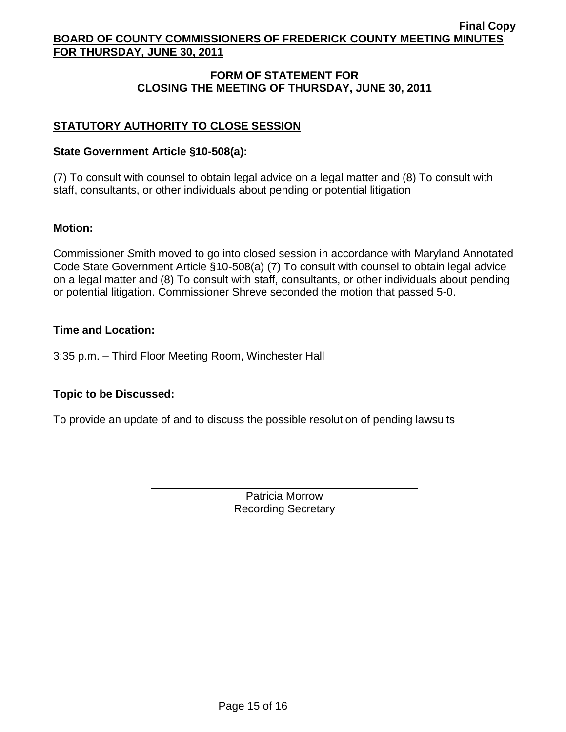# **FORM OF STATEMENT FOR CLOSING THE MEETING OF THURSDAY, JUNE 30, 2011**

# **STATUTORY AUTHORITY TO CLOSE SESSION**

# **State Government Article §10-508(a):**

(7) To consult with counsel to obtain legal advice on a legal matter and (8) To consult with staff, consultants, or other individuals about pending or potential litigation

# **Motion:**

Commissioner *S*mith moved to go into closed session in accordance with Maryland Annotated Code State Government Article §10-508(a) (7) To consult with counsel to obtain legal advice on a legal matter and (8) To consult with staff, consultants, or other individuals about pending or potential litigation. Commissioner Shreve seconded the motion that passed 5-0.

## **Time and Location:**

3:35 p.m. – Third Floor Meeting Room, Winchester Hall

# **Topic to be Discussed:**

To provide an update of and to discuss the possible resolution of pending lawsuits